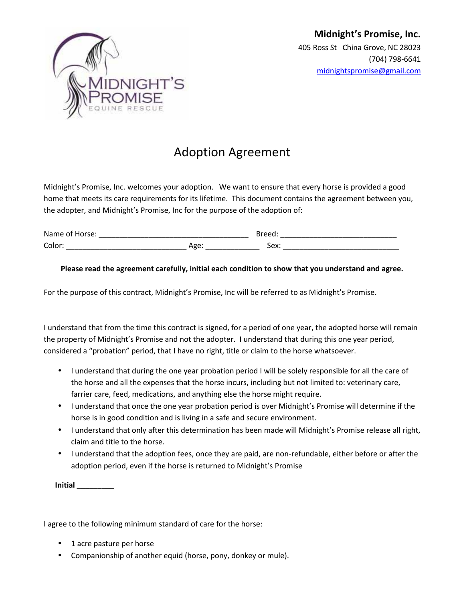

## Adoption Agreement

Midnight's Promise, Inc. welcomes your adoption. We want to ensure that every horse is provided a good home that meets its care requirements for its lifetime. This document contains the agreement between you, the adopter, and Midnight's Promise, Inc for the purpose of the adoption of:

| <b>Name</b><br>. . |          | --   |
|--------------------|----------|------|
| Color:             | יי<br>-- | Sex: |

## **Please read the agreement carefully, initial each condition to show that you understand and agree.**

For the purpose of this contract, Midnight's Promise, Inc will be referred to as Midnight's Promise.

I understand that from the time this contract is signed, for a period of one year, the adopted horse will remain the property of Midnight's Promise and not the adopter. I understand that during this one year period, considered a "probation" period, that I have no right, title or claim to the horse whatsoever.

- I understand that during the one year probation period I will be solely responsible for all the care of the horse and all the expenses that the horse incurs, including but not limited to: veterinary care, farrier care, feed, medications, and anything else the horse might require.
- I understand that once the one year probation period is over Midnight's Promise will determine if the horse is in good condition and is living in a safe and secure environment.
- I understand that only after this determination has been made will Midnight's Promise release all right, claim and title to the horse.
- I understand that the adoption fees, once they are paid, are non-refundable, either before or after the adoption period, even if the horse is returned to Midnight's Promise

**Initial \_\_\_\_\_\_\_\_\_**

I agree to the following minimum standard of care for the horse:

- 1 acre pasture per horse
- Companionship of another equid (horse, pony, donkey or mule).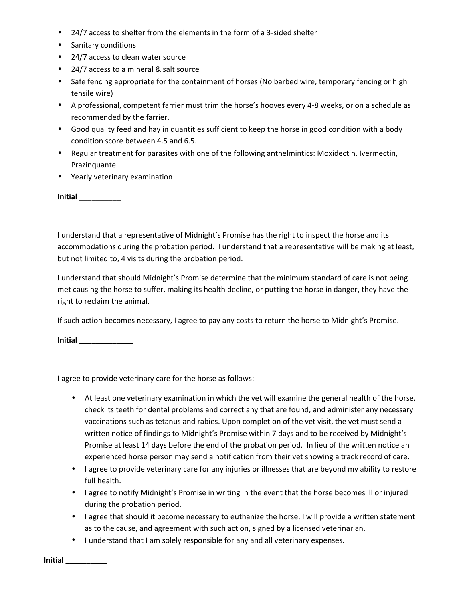- 24/7 access to shelter from the elements in the form of a 3-sided shelter
- Sanitary conditions
- 24/7 access to clean water source
- 24/7 access to a mineral & salt source
- Safe fencing appropriate for the containment of horses (No barbed wire, temporary fencing or high tensile wire)
- A professional, competent farrier must trim the horse's hooves every 4-8 weeks, or on a schedule as recommended by the farrier.
- Good quality feed and hay in quantities sufficient to keep the horse in good condition with a body condition score between 4.5 and 6.5.
- Regular treatment for parasites with one of the following anthelmintics: Moxidectin, Ivermectin, Prazinquantel
- Yearly veterinary examination

**Initial \_\_\_\_\_\_\_\_\_\_**

I understand that a representative of Midnight's Promise has the right to inspect the horse and its accommodations during the probation period. I understand that a representative will be making at least, but not limited to, 4 visits during the probation period.

I understand that should Midnight's Promise determine that the minimum standard of care is not being met causing the horse to suffer, making its health decline, or putting the horse in danger, they have the right to reclaim the animal.

If such action becomes necessary, I agree to pay any costs to return the horse to Midnight's Promise.

**Initial \_\_\_\_\_\_\_\_\_\_\_\_\_**

I agree to provide veterinary care for the horse as follows:

- At least one veterinary examination in which the vet will examine the general health of the horse, check its teeth for dental problems and correct any that are found, and administer any necessary vaccinations such as tetanus and rabies. Upon completion of the vet visit, the vet must send a written notice of findings to Midnight's Promise within 7 days and to be received by Midnight's Promise at least 14 days before the end of the probation period. In lieu of the written notice an experienced horse person may send a notification from their vet showing a track record of care.
- I agree to provide veterinary care for any injuries or illnesses that are beyond my ability to restore full health.
- I agree to notify Midnight's Promise in writing in the event that the horse becomes ill or injured during the probation period.
- I agree that should it become necessary to euthanize the horse, I will provide a written statement as to the cause, and agreement with such action, signed by a licensed veterinarian.
- I understand that I am solely responsible for any and all veterinary expenses.

**Initial \_\_\_\_\_\_\_\_\_\_**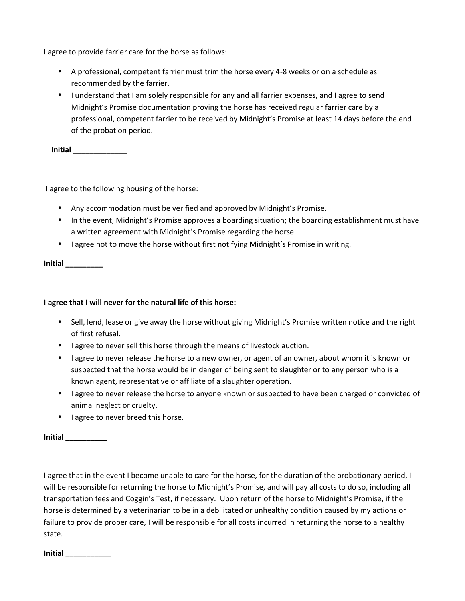I agree to provide farrier care for the horse as follows:

- A professional, competent farrier must trim the horse every 4-8 weeks or on a schedule as recommended by the farrier.
- I understand that I am solely responsible for any and all farrier expenses, and I agree to send Midnight's Promise documentation proving the horse has received regular farrier care by a professional, competent farrier to be received by Midnight's Promise at least 14 days before the end of the probation period.

**Initial \_\_\_\_\_\_\_\_\_\_\_\_\_**

I agree to the following housing of the horse:

- Any accommodation must be verified and approved by Midnight's Promise.
- In the event, Midnight's Promise approves a boarding situation; the boarding establishment must have a written agreement with Midnight's Promise regarding the horse.
- I agree not to move the horse without first notifying Midnight's Promise in writing.

**Initial \_\_\_\_\_\_\_\_\_**

## **I agree that I will never for the natural life of this horse:**

- Sell, lend, lease or give away the horse without giving Midnight's Promise written notice and the right of first refusal.
- I agree to never sell this horse through the means of livestock auction.
- I agree to never release the horse to a new owner, or agent of an owner, about whom it is known or suspected that the horse would be in danger of being sent to slaughter or to any person who is a known agent, representative or affiliate of a slaughter operation.
- I agree to never release the horse to anyone known or suspected to have been charged or convicted of animal neglect or cruelty.
- I agree to never breed this horse.

**Initial \_\_\_\_\_\_\_\_\_\_**

I agree that in the event I become unable to care for the horse, for the duration of the probationary period, I will be responsible for returning the horse to Midnight's Promise, and will pay all costs to do so, including all transportation fees and Coggin's Test, if necessary. Upon return of the horse to Midnight's Promise, if the horse is determined by a veterinarian to be in a debilitated or unhealthy condition caused by my actions or failure to provide proper care, I will be responsible for all costs incurred in returning the horse to a healthy state.

**Initial \_\_\_\_\_\_\_\_\_\_\_**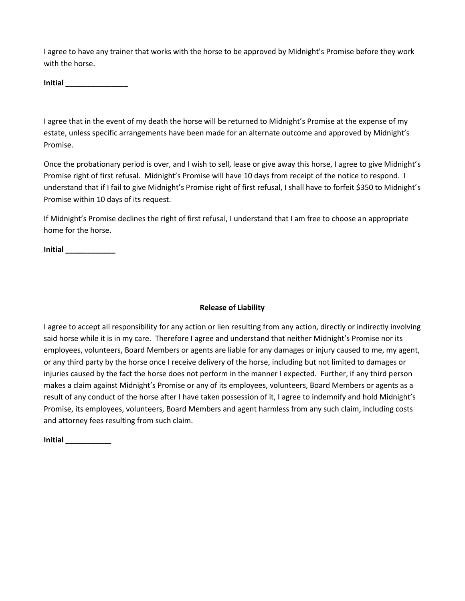I agree to have any trainer that works with the horse to be approved by Midnight's Promise before they work with the horse.

**Initial \_\_\_\_\_\_\_\_\_\_\_\_\_\_\_**

I agree that in the event of my death the horse will be returned to Midnight's Promise at the expense of my estate, unless specific arrangements have been made for an alternate outcome and approved by Midnight's Promise.

Once the probationary period is over, and I wish to sell, lease or give away this horse, I agree to give Midnight's Promise right of first refusal. Midnight's Promise will have 10 days from receipt of the notice to respond. I understand that if I fail to give Midnight's Promise right of first refusal, I shall have to forfeit \$350 to Midnight's Promise within 10 days of its request.

If Midnight's Promise declines the right of first refusal, I understand that I am free to choose an appropriate home for the horse.

**Initial \_\_\_\_\_\_\_\_\_\_\_\_**

## **Release of Liability**

I agree to accept all responsibility for any action or lien resulting from any action, directly or indirectly involving said horse while it is in my care. Therefore I agree and understand that neither Midnight's Promise nor its employees, volunteers, Board Members or agents are liable for any damages or injury caused to me, my agent, or any third party by the horse once I receive delivery of the horse, including but not limited to damages or injuries caused by the fact the horse does not perform in the manner I expected. Further, if any third person makes a claim against Midnight's Promise or any of its employees, volunteers, Board Members or agents as a result of any conduct of the horse after I have taken possession of it, I agree to indemnify and hold Midnight's Promise, its employees, volunteers, Board Members and agent harmless from any such claim, including costs and attorney fees resulting from such claim.

**Initial \_\_\_\_\_\_\_\_\_\_\_**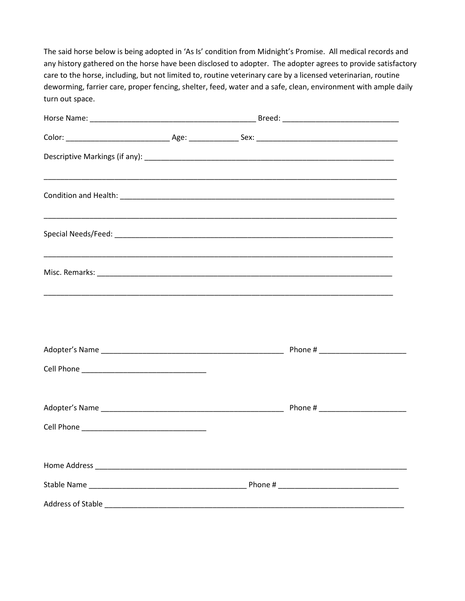The said horse below is being adopted in 'As Is' condition from Midnight's Promise. All medical records and any history gathered on the horse have been disclosed to adopter. The adopter agrees to provide satisfactory care to the horse, including, but not limited to, routine veterinary care by a licensed veterinarian, routine deworming, farrier care, proper fencing, shelter, feed, water and a safe, clean, environment with ample daily turn out space.